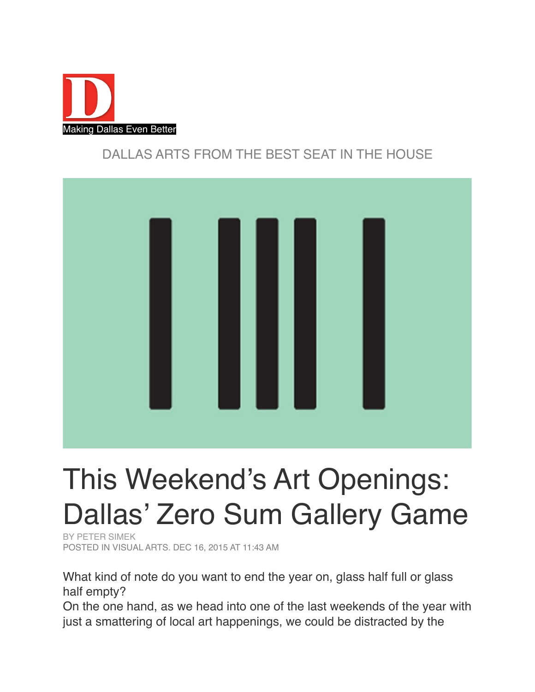

## DALLAS ARTS FROM THE BEST SEAT IN THE HOUSE



## This Weekend's Art Openings: Dallas' Zero Sum Gallery Game

[BY PETER SIMEK](http://frontrow.dmagazine.com/author/peter-simek/) POSTED IN [VISUAL ARTS.](http://frontrow.dmagazine.com/category/genre/visual-arts/) DEC 16, 2015 AT 11:43 AM

What kind of note do you want to end the year on, glass half full or glass half empty?

On the one hand, as we head into one of the last weekends of the year with just a smattering of local art happenings, we could be distracted by the